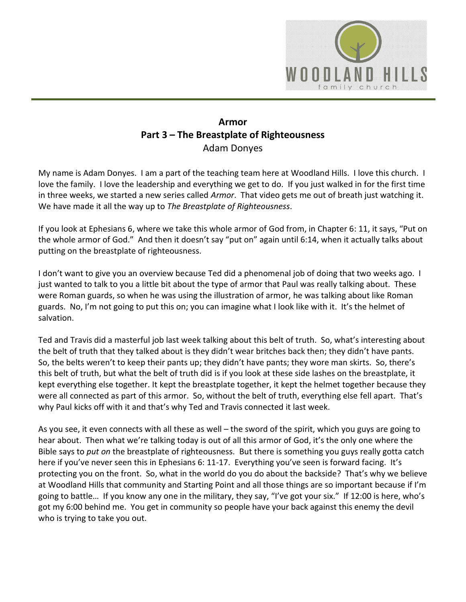

## **Armor Part 3 – The Breastplate of Righteousness** Adam Donyes

My name is Adam Donyes. I am a part of the teaching team here at Woodland Hills. I love this church. I love the family. I love the leadership and everything we get to do. If you just walked in for the first time in three weeks, we started a new series called *Armor*. That video gets me out of breath just watching it. We have made it all the way up to *The Breastplate of Righteousness*.

If you look at Ephesians 6, where we take this whole armor of God from, in Chapter 6: 11, it says, "Put on the whole armor of God." And then it doesn't say "put on" again until 6:14, when it actually talks about putting on the breastplate of righteousness.

I don't want to give you an overview because Ted did a phenomenal job of doing that two weeks ago. I just wanted to talk to you a little bit about the type of armor that Paul was really talking about. These were Roman guards, so when he was using the illustration of armor, he was talking about like Roman guards. No, I'm not going to put this on; you can imagine what I look like with it. It's the helmet of salvation.

Ted and Travis did a masterful job last week talking about this belt of truth. So, what's interesting about the belt of truth that they talked about is they didn't wear britches back then; they didn't have pants. So, the belts weren't to keep their pants up; they didn't have pants; they wore man skirts. So, there's this belt of truth, but what the belt of truth did is if you look at these side lashes on the breastplate, it kept everything else together. It kept the breastplate together, it kept the helmet together because they were all connected as part of this armor. So, without the belt of truth, everything else fell apart. That's why Paul kicks off with it and that's why Ted and Travis connected it last week.

As you see, it even connects with all these as well – the sword of the spirit, which you guys are going to hear about. Then what we're talking today is out of all this armor of God, it's the only one where the Bible says to *put on* the breastplate of righteousness. But there is something you guys really gotta catch here if you've never seen this in Ephesians 6: 11-17. Everything you've seen is forward facing. It's protecting you on the front. So, what in the world do you do about the backside? That's why we believe at Woodland Hills that community and Starting Point and all those things are so important because if I'm going to battle… If you know any one in the military, they say, "I've got your six." If 12:00 is here, who's got my 6:00 behind me. You get in community so people have your back against this enemy the devil who is trying to take you out.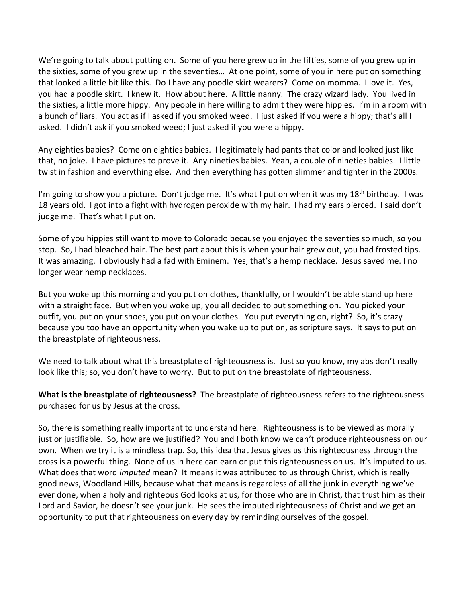We're going to talk about putting on. Some of you here grew up in the fifties, some of you grew up in the sixties, some of you grew up in the seventies… At one point, some of you in here put on something that looked a little bit like this. Do I have any poodle skirt wearers? Come on momma. I love it. Yes, you had a poodle skirt. I knew it. How about here. A little nanny. The crazy wizard lady. You lived in the sixties, a little more hippy. Any people in here willing to admit they were hippies. I'm in a room with a bunch of liars. You act as if I asked if you smoked weed. I just asked if you were a hippy; that's all I asked. I didn't ask if you smoked weed; I just asked if you were a hippy.

Any eighties babies? Come on eighties babies. I legitimately had pants that color and looked just like that, no joke. I have pictures to prove it. Any nineties babies. Yeah, a couple of nineties babies. I little twist in fashion and everything else. And then everything has gotten slimmer and tighter in the 2000s.

I'm going to show you a picture. Don't judge me. It's what I put on when it was my 18<sup>th</sup> birthday. I was 18 years old. I got into a fight with hydrogen peroxide with my hair. I had my ears pierced. I said don't judge me. That's what I put on.

Some of you hippies still want to move to Colorado because you enjoyed the seventies so much, so you stop. So, I had bleached hair. The best part about this is when your hair grew out, you had frosted tips. It was amazing. I obviously had a fad with Eminem. Yes, that's a hemp necklace. Jesus saved me. I no longer wear hemp necklaces.

But you woke up this morning and you put on clothes, thankfully, or I wouldn't be able stand up here with a straight face. But when you woke up, you all decided to put something on. You picked your outfit, you put on your shoes, you put on your clothes. You put everything on, right? So, it's crazy because you too have an opportunity when you wake up to put on, as scripture says. It says to put on the breastplate of righteousness.

We need to talk about what this breastplate of righteousness is. Just so you know, my abs don't really look like this; so, you don't have to worry. But to put on the breastplate of righteousness.

**What is the breastplate of righteousness?** The breastplate of righteousness refers to the righteousness purchased for us by Jesus at the cross.

So, there is something really important to understand here. Righteousness is to be viewed as morally just or justifiable. So, how are we justified? You and I both know we can't produce righteousness on our own. When we try it is a mindless trap. So, this idea that Jesus gives us this righteousness through the cross is a powerful thing. None of us in here can earn or put this righteousness on us. It's imputed to us. What does that word *imputed* mean? It means it was attributed to us through Christ, which is really good news, Woodland Hills, because what that means is regardless of all the junk in everything we've ever done, when a holy and righteous God looks at us, for those who are in Christ, that trust him as their Lord and Savior, he doesn't see your junk. He sees the imputed righteousness of Christ and we get an opportunity to put that righteousness on every day by reminding ourselves of the gospel.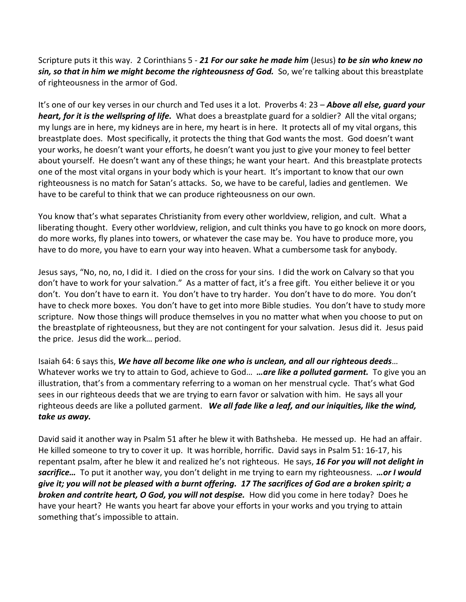Scripture puts it this way. 2 Corinthians 5 - *21 For our sake he made him* (Jesus) *to be sin who knew no sin, so that in him we might become the righteousness of God.* So, we're talking about this breastplate of righteousness in the armor of God.

It's one of our key verses in our church and Ted uses it a lot. Proverbs 4: 23 – *Above all else, guard your heart, for it is the wellspring of life.* What does a breastplate guard for a soldier? All the vital organs; my lungs are in here, my kidneys are in here, my heart is in here. It protects all of my vital organs, this breastplate does. Most specifically, it protects the thing that God wants the most. God doesn't want your works, he doesn't want your efforts, he doesn't want you just to give your money to feel better about yourself. He doesn't want any of these things; he want your heart. And this breastplate protects one of the most vital organs in your body which is your heart. It's important to know that our own righteousness is no match for Satan's attacks. So, we have to be careful, ladies and gentlemen. We have to be careful to think that we can produce righteousness on our own.

You know that's what separates Christianity from every other worldview, religion, and cult. What a liberating thought. Every other worldview, religion, and cult thinks you have to go knock on more doors, do more works, fly planes into towers, or whatever the case may be. You have to produce more, you have to do more, you have to earn your way into heaven. What a cumbersome task for anybody.

Jesus says, "No, no, no, I did it. I died on the cross for your sins. I did the work on Calvary so that you don't have to work for your salvation." As a matter of fact, it's a free gift. You either believe it or you don't. You don't have to earn it. You don't have to try harder. You don't have to do more. You don't have to check more boxes. You don't have to get into more Bible studies. You don't have to study more scripture. Now those things will produce themselves in you no matter what when you choose to put on the breastplate of righteousness, but they are not contingent for your salvation. Jesus did it. Jesus paid the price. Jesus did the work… period.

Isaiah 64: 6 says this, *We have all become like one who is unclean, and all our righteous deeds*… Whatever works we try to attain to God, achieve to God… *…are like a polluted garment.* To give you an illustration, that's from a commentary referring to a woman on her menstrual cycle. That's what God sees in our righteous deeds that we are trying to earn favor or salvation with him. He says all your righteous deeds are like a polluted garment. *We all fade like a leaf, and our iniquities, like the wind, take us away.*

David said it another way in Psalm 51 after he blew it with Bathsheba. He messed up. He had an affair. He killed someone to try to cover it up. It was horrible, horrific. David says in Psalm 51: 16-17, his repentant psalm, after he blew it and realized he's not righteous. He says, *16 For you will not delight in sacrifice…* To put it another way, you don't delight in me trying to earn my righteousness. *…or I would give it; you will not be pleased with a burnt offering. 17 The sacrifices of God are a broken spirit; a broken and contrite heart, O God, you will not despise.* How did you come in here today? Does he have your heart? He wants you heart far above your efforts in your works and you trying to attain something that's impossible to attain.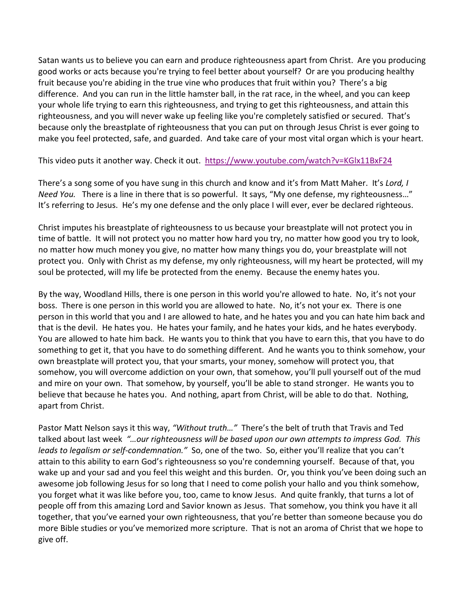Satan wants us to believe you can earn and produce righteousness apart from Christ. Are you producing good works or acts because you're trying to feel better about yourself? Or are you producing healthy fruit because you're abiding in the true vine who produces that fruit within you? There's a big difference. And you can run in the little hamster ball, in the rat race, in the wheel, and you can keep your whole life trying to earn this righteousness, and trying to get this righteousness, and attain this righteousness, and you will never wake up feeling like you're completely satisfied or secured. That's because only the breastplate of righteousness that you can put on through Jesus Christ is ever going to make you feel protected, safe, and guarded. And take care of your most vital organ which is your heart.

This video puts it another way. Check it out. <https://www.youtube.com/watch?v=KGlx11BxF24>

There's a song some of you have sung in this church and know and it's from Matt Maher. It's *Lord, I Need You.* There is a line in there that is so powerful. It says, "My one defense, my righteousness…" It's referring to Jesus. He's my one defense and the only place I will ever, ever be declared righteous.

Christ imputes his breastplate of righteousness to us because your breastplate will not protect you in time of battle. It will not protect you no matter how hard you try, no matter how good you try to look, no matter how much money you give, no matter how many things you do, your breastplate will not protect you. Only with Christ as my defense, my only righteousness, will my heart be protected, will my soul be protected, will my life be protected from the enemy. Because the enemy hates you.

By the way, Woodland Hills, there is one person in this world you're allowed to hate. No, it's not your boss. There is one person in this world you are allowed to hate. No, it's not your ex. There is one person in this world that you and I are allowed to hate, and he hates you and you can hate him back and that is the devil. He hates you. He hates your family, and he hates your kids, and he hates everybody. You are allowed to hate him back. He wants you to think that you have to earn this, that you have to do something to get it, that you have to do something different. And he wants you to think somehow, your own breastplate will protect you, that your smarts, your money, somehow will protect you, that somehow, you will overcome addiction on your own, that somehow, you'll pull yourself out of the mud and mire on your own. That somehow, by yourself, you'll be able to stand stronger. He wants you to believe that because he hates you. And nothing, apart from Christ, will be able to do that. Nothing, apart from Christ.

Pastor Matt Nelson says it this way, *"Without truth…"*There's the belt of truth that Travis and Ted talked about last week *"…our righteousness will be based upon our own attempts to impress God. This leads to legalism or self-condemnation."* So, one of the two. So, either you'll realize that you can't attain to this ability to earn God's righteousness so you're condemning yourself. Because of that, you wake up and your sad and you feel this weight and this burden. Or, you think you've been doing such an awesome job following Jesus for so long that I need to come polish your hallo and you think somehow, you forget what it was like before you, too, came to know Jesus. And quite frankly, that turns a lot of people off from this amazing Lord and Savior known as Jesus. That somehow, you think you have it all together, that you've earned your own righteousness, that you're better than someone because you do more Bible studies or you've memorized more scripture. That is not an aroma of Christ that we hope to give off.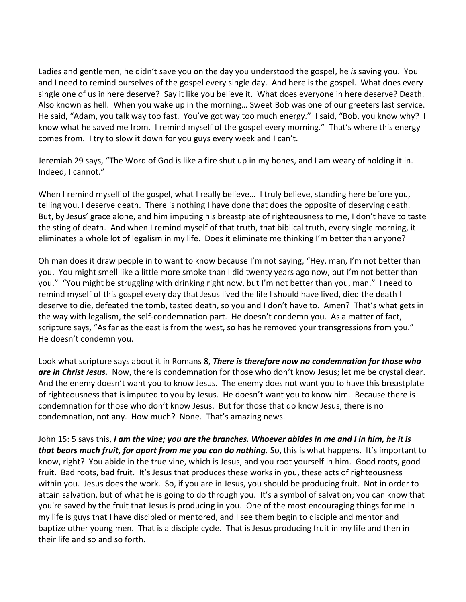Ladies and gentlemen, he didn't save you on the day you understood the gospel, he *is* saving you. You and I need to remind ourselves of the gospel every single day. And here is the gospel. What does every single one of us in here deserve? Say it like you believe it. What does everyone in here deserve? Death. Also known as hell. When you wake up in the morning… Sweet Bob was one of our greeters last service. He said, "Adam, you talk way too fast. You've got way too much energy." I said, "Bob, you know why? I know what he saved me from. I remind myself of the gospel every morning." That's where this energy comes from. I try to slow it down for you guys every week and I can't.

Jeremiah 29 says, "The Word of God is like a fire shut up in my bones, and I am weary of holding it in. Indeed, I cannot."

When I remind myself of the gospel, what I really believe... I truly believe, standing here before you, telling you, I deserve death. There is nothing I have done that does the opposite of deserving death. But, by Jesus' grace alone, and him imputing his breastplate of righteousness to me, I don't have to taste the sting of death. And when I remind myself of that truth, that biblical truth, every single morning, it eliminates a whole lot of legalism in my life. Does it eliminate me thinking I'm better than anyone?

Oh man does it draw people in to want to know because I'm not saying, "Hey, man, I'm not better than you. You might smell like a little more smoke than I did twenty years ago now, but I'm not better than you." "You might be struggling with drinking right now, but I'm not better than you, man." I need to remind myself of this gospel every day that Jesus lived the life I should have lived, died the death I deserve to die, defeated the tomb, tasted death, so you and I don't have to. Amen? That's what gets in the way with legalism, the self-condemnation part. He doesn't condemn you. As a matter of fact, scripture says, "As far as the east is from the west, so has he removed your transgressions from you." He doesn't condemn you.

Look what scripture says about it in Romans 8, *There is therefore now no condemnation for those who are in Christ Jesus.* Now, there is condemnation for those who don't know Jesus; let me be crystal clear. And the enemy doesn't want you to know Jesus. The enemy does not want you to have this breastplate of righteousness that is imputed to you by Jesus. He doesn't want you to know him. Because there is condemnation for those who don't know Jesus. But for those that do know Jesus, there is no condemnation, not any. How much? None. That's amazing news.

John 15: 5 says this, *I am the vine; you are the branches. Whoever abides in me and I in him, he it is that bears much fruit, for apart from me you can do nothing.* So, this is what happens. It's important to know, right? You abide in the true vine, which is Jesus, and you root yourself in him. Good roots, good fruit. Bad roots, bad fruit. It's Jesus that produces these works in you, these acts of righteousness within you. Jesus does the work. So, if you are in Jesus, you should be producing fruit. Not in order to attain salvation, but of what he is going to do through you. It's a symbol of salvation; you can know that you're saved by the fruit that Jesus is producing in you. One of the most encouraging things for me in my life is guys that I have discipled or mentored, and I see them begin to disciple and mentor and baptize other young men. That is a disciple cycle. That is Jesus producing fruit in my life and then in their life and so and so forth.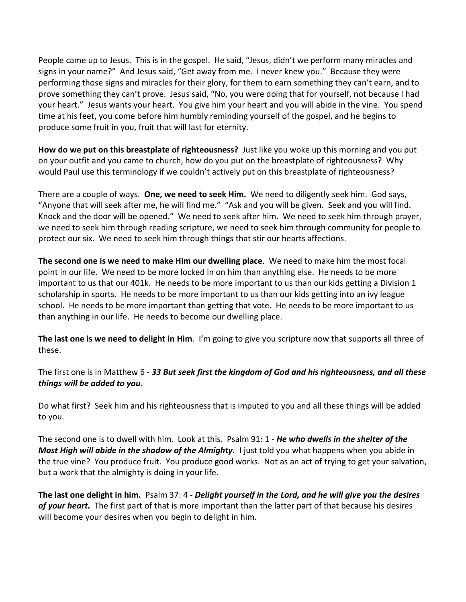People came up to Jesus. This is in the gospel. He said, "Jesus, didn't we perform many miracles and signs in your name?" And Jesus said, "Get away from me. I never knew you." Because they were performing those signs and miracles for their glory, for them to earn something they can't earn, and to prove something they can't prove. Jesus said, "No, you were doing that for yourself, not because I had your heart." Jesus wants your heart. You give him your heart and you will abide in the vine. You spend time at his feet, you come before him humbly reminding yourself of the gospel, and he begins to produce some fruit in you, fruit that will last for eternity.

**How do we put on this breastplate of righteousness?** Just like you woke up this morning and you put on your outfit and you came to church, how do you put on the breastplate of righteousness? Why would Paul use this terminology if we couldn't actively put on this breastplate of righteousness?

There are a couple of ways. **One, we need to seek Him.** We need to diligently seek him. God says, "Anyone that will seek after me, he will find me." "Ask and you will be given. Seek and you will find. Knock and the door will be opened." We need to seek after him. We need to seek him through prayer, we need to seek him through reading scripture, we need to seek him through community for people to protect our six. We need to seek him through things that stir our hearts affections.

**The second one is we need to make Him our dwelling place**. We need to make him the most focal point in our life. We need to be more locked in on him than anything else. He needs to be more important to us that our 401k. He needs to be more important to us than our kids getting a Division 1 scholarship in sports. He needs to be more important to us than our kids getting into an ivy league school. He needs to be more important than getting that vote. He needs to be more important to us than anything in our life. He needs to become our dwelling place.

**The last one is we need to delight in Him**. I'm going to give you scripture now that supports all three of these.

The first one is in Matthew 6 - *33 But seek first the kingdom of God and his righteousness, and all these things will be added to you.*

Do what first? Seek him and his righteousness that is imputed to you and all these things will be added to you.

The second one is to dwell with him. Look at this. Psalm 91: 1 - *He who dwells in the shelter of the Most High will abide in the shadow of the Almighty.* I just told you what happens when you abide in the true vine? You produce fruit. You produce good works. Not as an act of trying to get your salvation, but a work that the almighty is doing in your life.

**The last one delight in him.** Psalm 37: 4 - *Delight yourself in the Lord, and he will give you the desires of your heart.* The first part of that is more important than the latter part of that because his desires will become your desires when you begin to delight in him.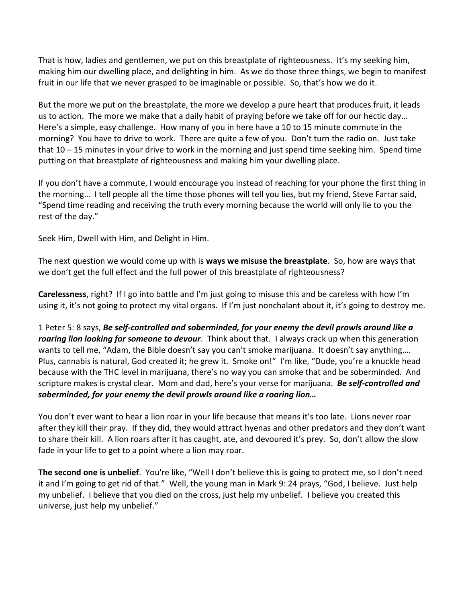That is how, ladies and gentlemen, we put on this breastplate of righteousness. It's my seeking him, making him our dwelling place, and delighting in him. As we do those three things, we begin to manifest fruit in our life that we never grasped to be imaginable or possible. So, that's how we do it.

But the more we put on the breastplate, the more we develop a pure heart that produces fruit, it leads us to action. The more we make that a daily habit of praying before we take off for our hectic day… Here's a simple, easy challenge. How many of you in here have a 10 to 15 minute commute in the morning? You have to drive to work. There are quite a few of you. Don't turn the radio on. Just take that 10 – 15 minutes in your drive to work in the morning and just spend time seeking him. Spend time putting on that breastplate of righteousness and making him your dwelling place.

If you don't have a commute, I would encourage you instead of reaching for your phone the first thing in the morning… I tell people all the time those phones will tell you lies, but my friend, Steve Farrar said, "Spend time reading and receiving the truth every morning because the world will only lie to you the rest of the day."

Seek Him, Dwell with Him, and Delight in Him.

The next question we would come up with is **ways we misuse the breastplate**. So, how are ways that we don't get the full effect and the full power of this breastplate of righteousness?

**Carelessness**, right? If I go into battle and I'm just going to misuse this and be careless with how I'm using it, it's not going to protect my vital organs. If I'm just nonchalant about it, it's going to destroy me.

1 Peter 5: 8 says, *Be self-controlled and soberminded, for your enemy the devil prowls around like a roaring lion looking for someone to devour*. Think about that. I always crack up when this generation wants to tell me, "Adam, the Bible doesn't say you can't smoke marijuana. It doesn't say anything.... Plus, cannabis is natural, God created it; he grew it. Smoke on!" I'm like, "Dude, you're a knuckle head because with the THC level in marijuana, there's no way you can smoke that and be soberminded. And scripture makes is crystal clear. Mom and dad, here's your verse for marijuana. *Be self-controlled and soberminded, for your enemy the devil prowls around like a roaring lion…*

You don't ever want to hear a lion roar in your life because that means it's too late. Lions never roar after they kill their pray. If they did, they would attract hyenas and other predators and they don't want to share their kill. A lion roars after it has caught, ate, and devoured it's prey. So, don't allow the slow fade in your life to get to a point where a lion may roar.

**The second one is unbelief**. You're like, "Well I don't believe this is going to protect me, so I don't need it and I'm going to get rid of that." Well, the young man in Mark 9: 24 prays, "God, I believe. Just help my unbelief. I believe that you died on the cross, just help my unbelief. I believe you created this universe, just help my unbelief."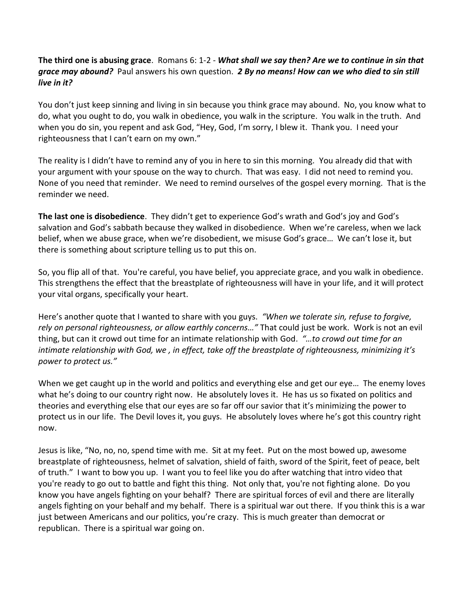## **The third one is abusing grace**. Romans 6: 1-2 - *What shall we say then? Are we to continue in sin that grace may abound?* Paul answers his own question. *2 By no means! How can we who died to sin still live in it?*

You don't just keep sinning and living in sin because you think grace may abound. No, you know what to do, what you ought to do, you walk in obedience, you walk in the scripture. You walk in the truth. And when you do sin, you repent and ask God, "Hey, God, I'm sorry, I blew it. Thank you. I need your righteousness that I can't earn on my own."

The reality is I didn't have to remind any of you in here to sin this morning. You already did that with your argument with your spouse on the way to church. That was easy. I did not need to remind you. None of you need that reminder. We need to remind ourselves of the gospel every morning. That is the reminder we need.

**The last one is disobedience**. They didn't get to experience God's wrath and God's joy and God's salvation and God's sabbath because they walked in disobedience. When we're careless, when we lack belief, when we abuse grace, when we're disobedient, we misuse God's grace… We can't lose it, but there is something about scripture telling us to put this on.

So, you flip all of that. You're careful, you have belief, you appreciate grace, and you walk in obedience. This strengthens the effect that the breastplate of righteousness will have in your life, and it will protect your vital organs, specifically your heart.

Here's another quote that I wanted to share with you guys. *"When we tolerate sin, refuse to forgive, rely on personal righteousness, or allow earthly concerns…"* That could just be work. Work is not an evil thing, but can it crowd out time for an intimate relationship with God. *"…to crowd out time for an intimate relationship with God, we , in effect, take off the breastplate of righteousness, minimizing it's power to protect us."*

When we get caught up in the world and politics and everything else and get our eye… The enemy loves what he's doing to our country right now. He absolutely loves it. He has us so fixated on politics and theories and everything else that our eyes are so far off our savior that it's minimizing the power to protect us in our life. The Devil loves it, you guys. He absolutely loves where he's got this country right now.

Jesus is like, "No, no, no, spend time with me. Sit at my feet. Put on the most bowed up, awesome breastplate of righteousness, helmet of salvation, shield of faith, sword of the Spirit, feet of peace, belt of truth." I want to bow you up. I want you to feel like you do after watching that intro video that you're ready to go out to battle and fight this thing. Not only that, you're not fighting alone. Do you know you have angels fighting on your behalf? There are spiritual forces of evil and there are literally angels fighting on your behalf and my behalf. There is a spiritual war out there. If you think this is a war just between Americans and our politics, you're crazy. This is much greater than democrat or republican. There is a spiritual war going on.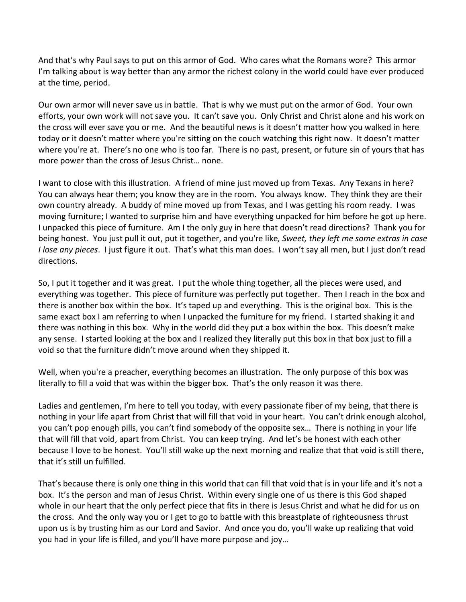And that's why Paul says to put on this armor of God. Who cares what the Romans wore? This armor I'm talking about is way better than any armor the richest colony in the world could have ever produced at the time, period.

Our own armor will never save us in battle. That is why we must put on the armor of God. Your own efforts, your own work will not save you. It can't save you. Only Christ and Christ alone and his work on the cross will ever save you or me. And the beautiful news is it doesn't matter how you walked in here today or it doesn't matter where you're sitting on the couch watching this right now. It doesn't matter where you're at. There's no one who is too far. There is no past, present, or future sin of yours that has more power than the cross of Jesus Christ… none.

I want to close with this illustration. A friend of mine just moved up from Texas. Any Texans in here? You can always hear them; you know they are in the room. You always know. They think they are their own country already. A buddy of mine moved up from Texas, and I was getting his room ready. I was moving furniture; I wanted to surprise him and have everything unpacked for him before he got up here. I unpacked this piece of furniture. Am I the only guy in here that doesn't read directions? Thank you for being honest. You just pull it out, put it together, and you're like*, Sweet, they left me some extras in case I lose any pieces*. I just figure it out. That's what this man does. I won't say all men, but I just don't read directions.

So, I put it together and it was great. I put the whole thing together, all the pieces were used, and everything was together. This piece of furniture was perfectly put together. Then I reach in the box and there is another box within the box. It's taped up and everything. This is the original box. This is the same exact box I am referring to when I unpacked the furniture for my friend. I started shaking it and there was nothing in this box. Why in the world did they put a box within the box. This doesn't make any sense. I started looking at the box and I realized they literally put this box in that box just to fill a void so that the furniture didn't move around when they shipped it.

Well, when you're a preacher, everything becomes an illustration. The only purpose of this box was literally to fill a void that was within the bigger box. That's the only reason it was there.

Ladies and gentlemen, I'm here to tell you today, with every passionate fiber of my being, that there is nothing in your life apart from Christ that will fill that void in your heart. You can't drink enough alcohol, you can't pop enough pills, you can't find somebody of the opposite sex… There is nothing in your life that will fill that void, apart from Christ. You can keep trying. And let's be honest with each other because I love to be honest. You'll still wake up the next morning and realize that that void is still there, that it's still un fulfilled.

That's because there is only one thing in this world that can fill that void that is in your life and it's not a box. It's the person and man of Jesus Christ. Within every single one of us there is this God shaped whole in our heart that the only perfect piece that fits in there is Jesus Christ and what he did for us on the cross. And the only way you or I get to go to battle with this breastplate of righteousness thrust upon us is by trusting him as our Lord and Savior. And once you do, you'll wake up realizing that void you had in your life is filled, and you'll have more purpose and joy…